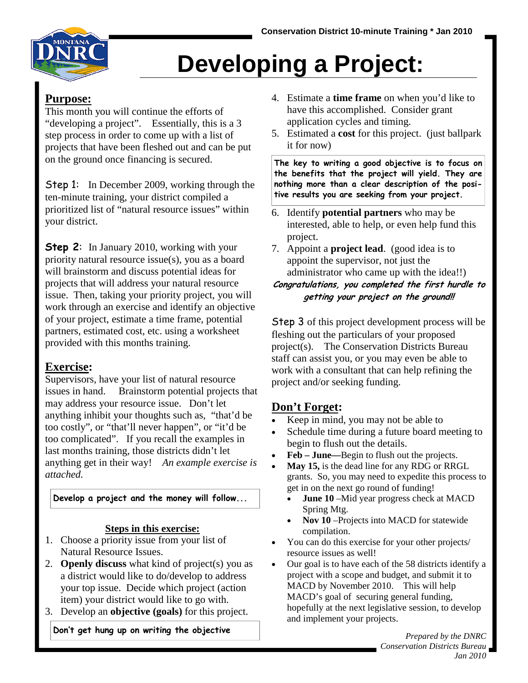

# **Developing a Project**:

#### **Purpose:**

This month you will continue the efforts of "developing a project". Essentially, this is a 3 step process in order to come up with a list of projects that have been fleshed out and can be put on the ground once financing is secured.

Step 1:In December 2009, working through the ten-minute training, your district compiled a prioritized list of "natural resource issues" within your district.

**Step 2:** In January 2010, working with your priority natural resource issue(s), you as a board will brainstorm and discuss potential ideas for projects that will address your natural resource issue. Then, taking your priority project, you will work through an exercise and identify an objective of your project, estimate a time frame, potential partners, estimated cost, etc. using a worksheet provided with this months training.

### **Exercise:**

Supervisors, have your list of natural resource issues in hand. Brainstorm potential projects that may address your resource issue. Don't let anything inhibit your thoughts such as, "that'd be too costly", or "that'll never happen", or "it'd be too complicated". If you recall the examples in last months training, those districts didn't let anything get in their way! *An example exercise is attached.* 

**Develop a project and the money will follow...**

#### **Steps in this exercise:**

- 1. Choose a priority issue from your list of Natural Resource Issues.
- 2. **Openly discuss** what kind of project(s) you as a district would like to do/develop to address your top issue. Decide which project (action item) your district would like to go with.
- 3. Develop an **objective (goals)** for this project.

**Don't get hung up on writing the objective**

- 4. Estimate a **time frame** on when you'd like to have this accomplished. Consider grant application cycles and timing.
- 5. Estimated a **cost** for this project. (just ballpark it for now)

**The key to writing a good objective is to focus on the benefits that the project will yield. They are nothing more than a clear description of the positive results you are seeking from your project.** 

- 6. Identify **potential partners** who may be interested, able to help, or even help fund this project.
- 7. Appoint a **project lead**. (good idea is to appoint the supervisor, not just the administrator who came up with the idea!!)

#### **Congratulations, you completed the first hurdle to getting your project on the ground!!**

Step 3 of this project development process will be fleshing out the particulars of your proposed project(s). The Conservation Districts Bureau staff can assist you, or you may even be able to work with a consultant that can help refining the project and/or seeking funding.

### **Don't Forget:**

- Keep in mind, you may not be able to
- Schedule time during a future board meeting to begin to flush out the details.
- **Feb June—**Begin to flush out the projects.
- **May 15,** is the dead line for any RDG or RRGL grants. So, you may need to expedite this process to get in on the next go round of funding!
	- **June 10** Mid year progress check at MACD Spring Mtg.
	- **Nov 10** –Projects into MACD for statewide compilation.
- You can do this exercise for your other projects/ resource issues as well!
- Our goal is to have each of the 58 districts identify a project with a scope and budget, and submit it to MACD by November 2010. This will help MACD's goal of securing general funding, hopefully at the next legislative session, to develop and implement your projects.

*Prepared by the DNRC Conservation Districts Bureau Jan 2010*